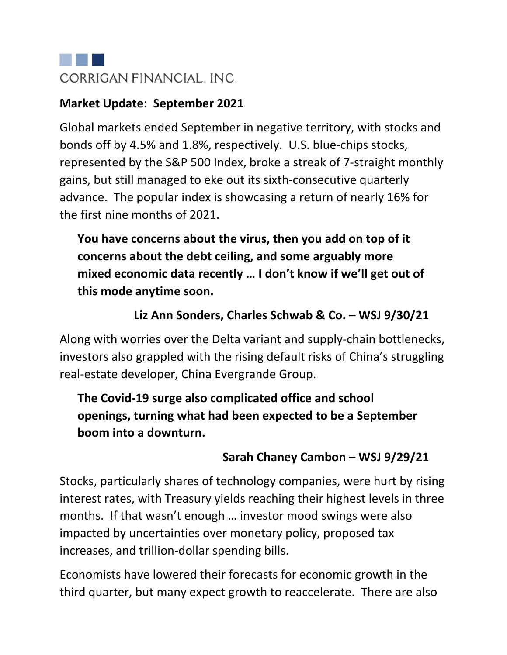

#### **Market Update: September 2021**

Global markets ended September in negative territory, with stocks and bonds off by 4.5% and 1.8%, respectively. U.S. blue-chips stocks, represented by the S&P 500 Index, broke a streak of 7-straight monthly gains, but still managed to eke out its sixth-consecutive quarterly advance. The popular index is showcasing a return of nearly 16% for the first nine months of 2021.

**You have concerns about the virus, then you add on top of it concerns about the debt ceiling, and some arguably more mixed economic data recently … I don't know if we'll get out of this mode anytime soon.**

## **Liz Ann Sonders, Charles Schwab & Co. – WSJ 9/30/21**

Along with worries over the Delta variant and supply-chain bottlenecks, investors also grappled with the rising default risks of China's struggling real-estate developer, China Evergrande Group.

**The Covid-19 surge also complicated office and school openings, turning what had been expected to be a September boom into a downturn.**

# **Sarah Chaney Cambon – WSJ 9/29/21**

Stocks, particularly shares of technology companies, were hurt by rising interest rates, with Treasury yields reaching their highest levels in three months. If that wasn't enough … investor mood swings were also impacted by uncertainties over monetary policy, proposed tax increases, and trillion-dollar spending bills.

Economists have lowered their forecasts for economic growth in the third quarter, but many expect growth to reaccelerate. There are also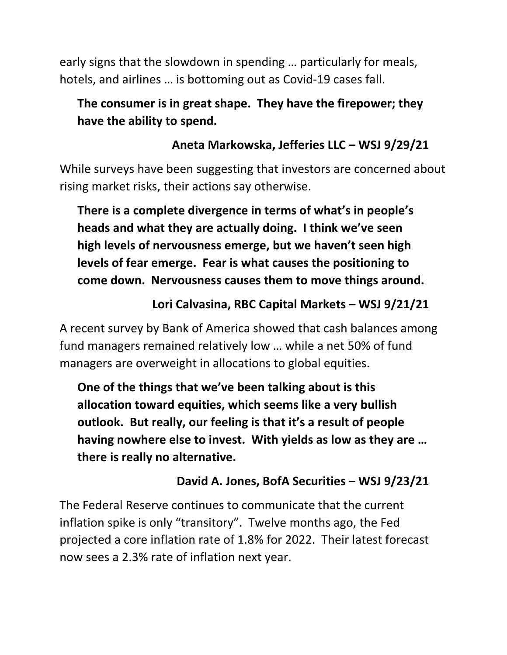early signs that the slowdown in spending … particularly for meals, hotels, and airlines … is bottoming out as Covid-19 cases fall.

# **The consumer is in great shape. They have the firepower; they have the ability to spend.**

# **Aneta Markowska, Jefferies LLC – WSJ 9/29/21**

While surveys have been suggesting that investors are concerned about rising market risks, their actions say otherwise.

**There is a complete divergence in terms of what's in people's heads and what they are actually doing. I think we've seen high levels of nervousness emerge, but we haven't seen high levels of fear emerge. Fear is what causes the positioning to come down. Nervousness causes them to move things around.**

# **Lori Calvasina, RBC Capital Markets – WSJ 9/21/21**

A recent survey by Bank of America showed that cash balances among fund managers remained relatively low … while a net 50% of fund managers are overweight in allocations to global equities.

**One of the things that we've been talking about is this allocation toward equities, which seems like a very bullish outlook. But really, our feeling is that it's a result of people having nowhere else to invest. With yields as low as they are … there is really no alternative.**

# **David A. Jones, BofA Securities – WSJ 9/23/21**

The Federal Reserve continues to communicate that the current inflation spike is only "transitory". Twelve months ago, the Fed projected a core inflation rate of 1.8% for 2022. Their latest forecast now sees a 2.3% rate of inflation next year.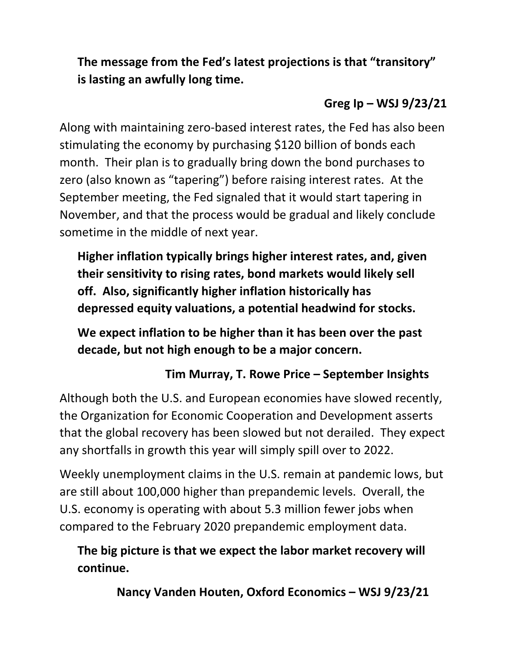**The message from the Fed's latest projections is that "transitory" is lasting an awfully long time.**

# **Greg Ip – WSJ 9/23/21**

Along with maintaining zero-based interest rates, the Fed has also been stimulating the economy by purchasing \$120 billion of bonds each month. Their plan is to gradually bring down the bond purchases to zero (also known as "tapering") before raising interest rates. At the September meeting, the Fed signaled that it would start tapering in November, and that the process would be gradual and likely conclude sometime in the middle of next year.

**Higher inflation typically brings higher interest rates, and, given their sensitivity to rising rates, bond markets would likely sell off. Also, significantly higher inflation historically has depressed equity valuations, a potential headwind for stocks.**

**We expect inflation to be higher than it has been over the past decade, but not high enough to be a major concern.**

# **Tim Murray, T. Rowe Price – September Insights**

Although both the U.S. and European economies have slowed recently, the Organization for Economic Cooperation and Development asserts that the global recovery has been slowed but not derailed. They expect any shortfalls in growth this year will simply spill over to 2022.

Weekly unemployment claims in the U.S. remain at pandemic lows, but are still about 100,000 higher than prepandemic levels. Overall, the U.S. economy is operating with about 5.3 million fewer jobs when compared to the February 2020 prepandemic employment data.

# **The big picture is that we expect the labor market recovery will continue.**

**Nancy Vanden Houten, Oxford Economics – WSJ 9/23/21**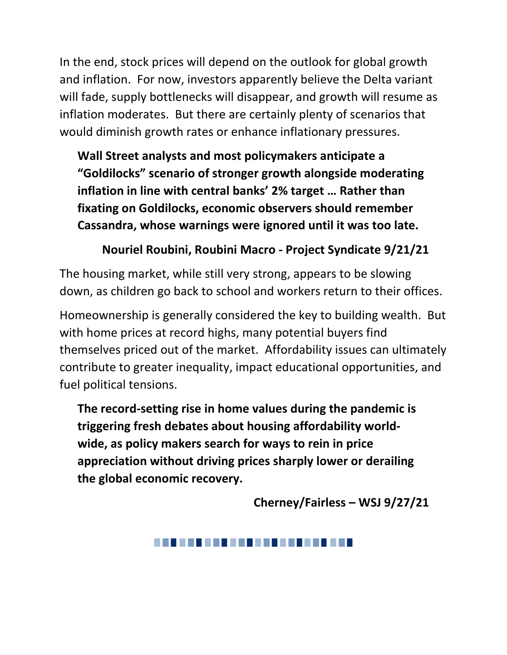In the end, stock prices will depend on the outlook for global growth and inflation. For now, investors apparently believe the Delta variant will fade, supply bottlenecks will disappear, and growth will resume as inflation moderates. But there are certainly plenty of scenarios that would diminish growth rates or enhance inflationary pressures.

**Wall Street analysts and most policymakers anticipate a "Goldilocks" scenario of stronger growth alongside moderating inflation in line with central banks' 2% target … Rather than fixating on Goldilocks, economic observers should remember Cassandra, whose warnings were ignored until it was too late.**

## **Nouriel Roubini, Roubini Macro - Project Syndicate 9/21/21**

The housing market, while still very strong, appears to be slowing down, as children go back to school and workers return to their offices.

Homeownership is generally considered the key to building wealth. But with home prices at record highs, many potential buyers find themselves priced out of the market. Affordability issues can ultimately contribute to greater inequality, impact educational opportunities, and fuel political tensions.

**The record-setting rise in home values during the pandemic is triggering fresh debates about housing affordability worldwide, as policy makers search for ways to rein in price appreciation without driving prices sharply lower or derailing the global economic recovery.**

**Cherney/Fairless – WSJ 9/27/21**

####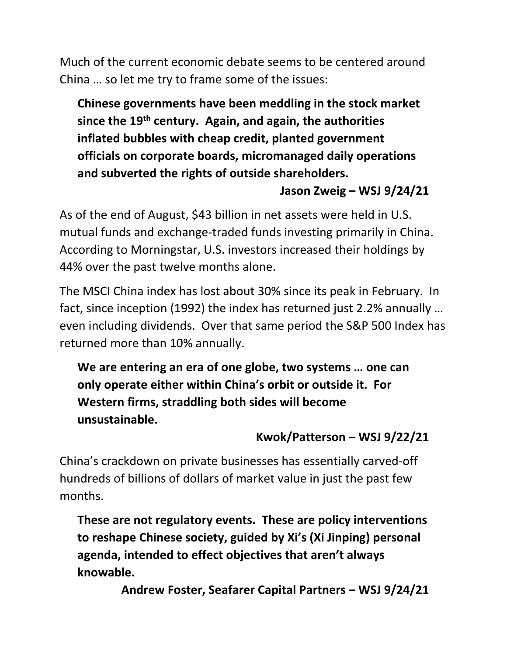Much of the current economic debate seems to be centered around China … so let me try to frame some of the issues:

**Chinese governments have been meddling in the stock market since the 19th century. Again, and again, the authorities inflated bubbles with cheap credit, planted government officials on corporate boards, micromanaged daily operations and subverted the rights of outside shareholders.**

#### **Jason Zweig – WSJ 9/24/21**

As of the end of August, \$43 billion in net assets were held in U.S. mutual funds and exchange-traded funds investing primarily in China. According to Morningstar, U.S. investors increased their holdings by 44% over the past twelve months alone.

The MSCI China index has lost about 30% since its peak in February. In fact, since inception (1992) the index has returned just 2.2% annually … even including dividends. Over that same period the S&P 500 Index has returned more than 10% annually.

**We are entering an era of one globe, two systems … one can only operate either within China's orbit or outside it. For Western firms, straddling both sides will become unsustainable.**

## **Kwok/Patterson – WSJ 9/22/21**

China's crackdown on private businesses has essentially carved-off hundreds of billions of dollars of market value in just the past few months.

**These are not regulatory events. These are policy interventions to reshape Chinese society, guided by Xi's (Xi Jinping) personal agenda, intended to effect objectives that aren't always knowable.**

**Andrew Foster, Seafarer Capital Partners – WSJ 9/24/21**